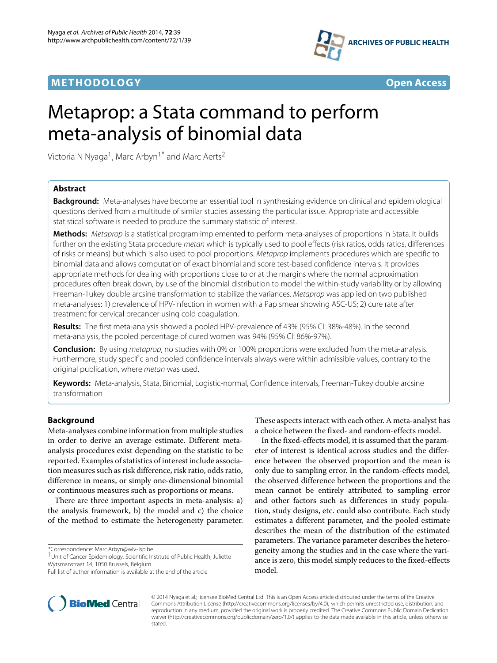## **METHODOLOG Y Open Access**





# Metaprop: a Stata command to perform meta-analysis of binomial data

Victoria N Nyaga<sup>1</sup>, Marc Arbyn<sup>1\*</sup> and Marc Aerts<sup>2</sup>

## **Abstract**

**Background:** Meta-analyses have become an essential tool in synthesizing evidence on clinical and epidemiological questions derived from a multitude of similar studies assessing the particular issue. Appropriate and accessible statistical software is needed to produce the summary statistic of interest.

**Methods:** *Metaprop* is a statistical program implemented to perform meta-analyses of proportions in Stata. It builds further on the existing Stata procedure *metan* which is typically used to pool effects (risk ratios, odds ratios, differences of risks or means) but which is also used to pool proportions. *Metaprop* implements procedures which are specific to binomial data and allows computation of exact binomial and score test-based confidence intervals. It provides appropriate methods for dealing with proportions close to or at the margins where the normal approximation procedures often break down, by use of the binomial distribution to model the within-study variability or by allowing Freeman-Tukey double arcsine transformation to stabilize the variances. *Metaprop* was applied on two published meta-analyses: 1) prevalence of HPV-infection in women with a Pap smear showing ASC-US; 2) cure rate after treatment for cervical precancer using cold coagulation.

**Results:** The first meta-analysis showed a pooled HPV-prevalence of 43% (95% CI: 38%-48%). In the second meta-analysis, the pooled percentage of cured women was 94% (95% CI: 86%-97%).

**Conclusion:** By using *metaprop*, no studies with 0% or 100% proportions were excluded from the meta-analysis. Furthermore, study specific and pooled confidence intervals always were within admissible values, contrary to the original publication, where *metan* was used.

**Keywords:** Meta-analysis, Stata, Binomial, Logistic-normal, Confidence intervals, Freeman-Tukey double arcsine transformation

## **Background**

Meta-analyses combine information from multiple studies in order to derive an average estimate. Different metaanalysis procedures exist depending on the statistic to be reported. Examples of statistics of interest include association measures such as risk difference, risk ratio, odds ratio, difference in means, or simply one-dimensional binomial or continuous measures such as proportions or means.

There are three important aspects in meta-analysis: a) the analysis framework, b) the model and c) the choice of the method to estimate the heterogeneity parameter.

\*Correspondence: [Marc.Arbyn@wiv-isp.be](mailto: Marc.Arbyn@wiv-isp.be)

<sup>1</sup> Unit of Cancer Epidemiology, Scientific Institute of Public Health, Juliette Wytsmanstraat 14, 1050 Brussels, Belgium



In the fixed-effects model, it is assumed that the parameter of interest is identical across studies and the difference between the observed proportion and the mean is only due to sampling error. In the random-effects model, the observed difference between the proportions and the mean cannot be entirely attributed to sampling error and other factors such as differences in study population, study designs, etc. could also contribute. Each study estimates a different parameter, and the pooled estimate describes the mean of the distribution of the estimated parameters. The variance parameter describes the heterogeneity among the studies and in the case where the variance is zero, this model simply reduces to the fixed-effects model.



© 2014 Nyaga et al.; licensee BioMed Central Ltd. This is an Open Access article distributed under the terms of the Creative Commons Attribution License [\(http://creativecommons.org/licenses/by/4.0\)](http://creativecommons.org/licenses/by/4.0), which permits unrestricted use, distribution, and reproduction in any medium, provided the original work is properly credited. The Creative Commons Public Domain Dedication waiver [\(http://creativecommons.org/publicdomain/zero/1.0/\)](http://creativecommons.org/publicdomain/zero/1.0/) applies to the data made available in this article, unless otherwise stated.

Full list of author information is available at the end of the article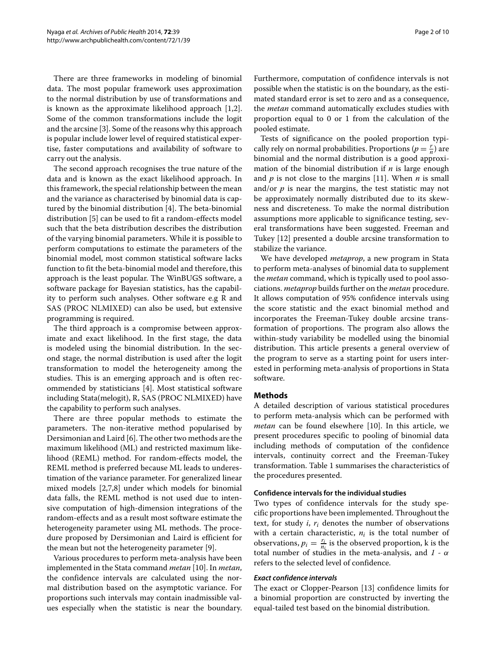There are three frameworks in modeling of binomial data. The most popular framework uses approximation to the normal distribution by use of transformations and is known as the approximate likelihood approach [\[1,](#page-9-0)[2\]](#page-9-1). Some of the common transformations include the logit and the arcsine [\[3\]](#page-9-2). Some of the reasons why this approach is popular include lower level of required statistical expertise, faster computations and availability of software to carry out the analysis.

The second approach recognises the true nature of the data and is known as the exact likelihood approach. In this framework, the special relationship between the mean and the variance as characterised by binomial data is captured by the binomial distribution [\[4\]](#page-9-3). The beta-binomial distribution [\[5\]](#page-9-4) can be used to fit a random-effects model such that the beta distribution describes the distribution of the varying binomial parameters. While it is possible to perform computations to estimate the parameters of the binomial model, most common statistical software lacks function to fit the beta-binomial model and therefore, this approach is the least popular. The WinBUGS software, a software package for Bayesian statistics, has the capability to perform such analyses. Other software e.g R and SAS (PROC NLMIXED) can also be used, but extensive programming is required.

The third approach is a compromise between approximate and exact likelihood. In the first stage, the data is modeled using the binomial distribution. In the second stage, the normal distribution is used after the logit transformation to model the heterogeneity among the studies. This is an emerging approach and is often recommended by statisticians [\[4\]](#page-9-3). Most statistical software including Stata(melogit), R, SAS (PROC NLMIXED) have the capability to perform such analyses.

There are three popular methods to estimate the parameters. The non-iterative method popularised by Dersimonian and Laird [\[6\]](#page-9-5). The other two methods are the maximum likelihood (ML) and restricted maximum likelihood (REML) method. For random-effects model, the REML method is preferred because ML leads to underestimation of the variance parameter. For generalized linear mixed models [\[2](#page-9-1)[,7](#page-9-6)[,8\]](#page-9-7) under which models for binomial data falls, the REML method is not used due to intensive computation of high-dimension integrations of the random-effects and as a result most software estimate the heterogeneity parameter using ML methods. The procedure proposed by Dersimonian and Laird is efficient for the mean but not the heterogeneity parameter [\[9\]](#page-9-8).

Various procedures to perform meta-analysis have been implemented in the Stata command *metan* [\[10\]](#page-9-9). In *metan*, the confidence intervals are calculated using the normal distribution based on the asymptotic variance. For proportions such intervals may contain inadmissible values especially when the statistic is near the boundary.

Furthermore, computation of confidence intervals is not possible when the statistic is on the boundary, as the estimated standard error is set to zero and as a consequence, the *metan* command automatically excludes studies with proportion equal to 0 or 1 from the calculation of the

pooled estimate. Tests of significance on the pooled proportion typically rely on normal probabilities. Proportions ( $p = \frac{r}{n}$ ) are binomial and the normal distribution is a good approximation of the binomial distribution if *n* is large enough and *p* is not close to the margins [\[11\]](#page-9-10). When *n* is small and/or *p* is near the margins, the test statistic may not be approximately normally distributed due to its skewness and discreteness. To make the normal distribution assumptions more applicable to significance testing, several transformations have been suggested. Freeman and Tukey [\[12\]](#page-9-11) presented a double arcsine transformation to stabilize the variance.

We have developed *metaprop*, a new program in Stata to perform meta-analyses of binomial data to supplement the *metan* command, which is typically used to pool associations. *metaprop* builds further on the *metan* procedure. It allows computation of 95% confidence intervals using the score statistic and the exact binomial method and incorporates the Freeman-Tukey double arcsine transformation of proportions. The program also allows the within-study variability be modelled using the binomial distribution. This article presents a general overview of the program to serve as a starting point for users interested in performing meta-analysis of proportions in Stata software.

#### **Methods**

A detailed description of various statistical procedures to perform meta-analysis which can be performed with *metan* can be found elsewhere [\[10\]](#page-9-9). In this article, we present procedures specific to pooling of binomial data including methods of computation of the confidence intervals, continuity correct and the Freeman-Tukey transformation. Table [1](#page-2-0) summarises the characteristics of the procedures presented.

#### **Confidence intervals for the individual studies**

Two types of confidence intervals for the study specific proportions have been implemented. Throughout the text, for study *i*, *ri* denotes the number of observations with a certain characteristic,  $n_i$  is the total number of observations,  $p_i = \frac{r_i}{n_i}$  is the observed proportion, k is the total number of studies in the meta-analysis, and *1 -* α refers to the selected level of confidence.

#### *Exact confidence intervals*

The exact or Clopper-Pearson [\[13\]](#page-9-12) confidence limits for a binomial proportion are constructed by inverting the equal-tailed test based on the binomial distribution.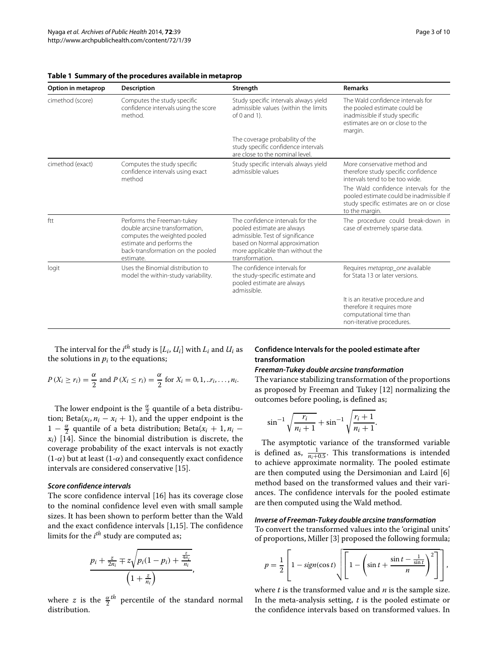| Option in metaprop | <b>Description</b>                                                                                                                                                          | Strength                                                                                                                                                                                   | <b>Remarks</b>                                                                                                                                     |
|--------------------|-----------------------------------------------------------------------------------------------------------------------------------------------------------------------------|--------------------------------------------------------------------------------------------------------------------------------------------------------------------------------------------|----------------------------------------------------------------------------------------------------------------------------------------------------|
| cimethod (score)   | Computes the study specific<br>confidence intervals using the score<br>method.                                                                                              | Study specific intervals always yield<br>admissible values (within the limits<br>of $0$ and $1$ ).                                                                                         | The Wald confidence intervals for<br>the pooled estimate could be<br>inadmissible if study specific<br>estimates are on or close to the<br>margin. |
|                    |                                                                                                                                                                             | The coverage probability of the<br>study specific confidence intervals<br>are close to the nominal level.                                                                                  |                                                                                                                                                    |
| cimethod (exact)   | Computes the study specific<br>confidence intervals using exact<br>method                                                                                                   | Study specific intervals always yield<br>admissible values                                                                                                                                 | More conservative method and<br>therefore study specific confidence<br>intervals tend to be too wide.                                              |
|                    |                                                                                                                                                                             |                                                                                                                                                                                            | The Wald confidence intervals for the<br>pooled estimate could be inadmissible if<br>study specific estimates are on or close<br>to the margin.    |
| ftt                | Performs the Freeman-tukey<br>double arcsine transformation.<br>computes the weighted pooled<br>estimate and performs the<br>back-transformation on the pooled<br>estimate. | The confidence intervals for the<br>pooled estimate are always<br>admissible. Test of significance<br>based on Normal approximation<br>more applicable than without the<br>transformation. | The procedure could break-down in<br>case of extremely sparse data.                                                                                |
| logit              | Uses the Binomial distribution to<br>model the within-study variability.                                                                                                    | The confidence intervals for<br>the study-specific estimate and<br>pooled estimate are always<br>admissible.                                                                               | Requires <i>metaprop_one</i> available<br>for Stata 13 or later versions.                                                                          |
|                    |                                                                                                                                                                             |                                                                                                                                                                                            | It is an iterative procedure and<br>therefore it requires more<br>computational time than<br>non-iterative procedures.                             |

## <span id="page-2-0"></span>**Table 1 Summary of the procedures available in metaprop**

The interval for the  $i^{th}$  study is  $\left[ L_i, \, U_i \right]$  with  $L_i$  and  $U_i$  as the solutions in  $p_i$  to the equations;

$$
P(X_i \ge r_i) = \frac{\alpha}{2}
$$
 and  $P(X_i \le r_i) = \frac{\alpha}{2}$  for  $X_i = 0, 1, ... r_i, ..., n_i$ .

The lower endpoint is the  $\frac{\alpha}{2}$  quantile of a beta distribution; Beta $(x_i, n_i - x_i + 1)$ , and the upper endpoint is the 1 –  $\frac{\alpha}{2}$  quantile of a beta distribution; Beta( $x_i + 1, n_i$  –  $x_i$ ) [\[14\]](#page-9-13). Since the binomial distribution is discrete, the coverage probability of the exact intervals is not exactly  $(1-\alpha)$  but at least  $(1-\alpha)$  and consequently exact confidence intervals are considered conservative [\[15\]](#page-9-14).

#### *Score confidence intervals*

The score confidence interval [\[16\]](#page-9-15) has its coverage close to the nominal confidence level even with small sample sizes. It has been shown to perform better than the Wald and the exact confidence intervals [\[1,](#page-9-0)[15\]](#page-9-14). The confidence limits for the *i th* study are computed as;

$$
\frac{p_i+\frac{z}{2n_i}\mp z\sqrt{p_i(1-p_i)+\frac{\frac{z}{4n_i}}{n_i}}}{\left(1+\frac{z}{n_i}\right)},
$$

where *z* is the  $\frac{\alpha}{2}$ <sup>th</sup> percentile of the standard normal distribution.

## **Confidence Intervals for the pooled estimate after transformation**

#### *Freeman-Tukey double arcsine transformation*

The variance stabilizing transformation of the proportions as proposed by Freeman and Tukey [\[12\]](#page-9-11) normalizing the outcomes before pooling, is defined as;

$$
\sin^{-1}\sqrt{\frac{r_i}{n_i+1}} + \sin^{-1}\sqrt{\frac{r_i+1}{n_i+1}}.
$$

The asymptotic variance of the transformed variable is defined as,  $\frac{1}{n_i+0.5}$ . This transformations is intended to achieve approximate normality. The pooled estimate are then computed using the Dersimonian and Laird [\[6\]](#page-9-5) method based on the transformed values and their variances. The confidence intervals for the pooled estimate are then computed using the Wald method.

#### *Inverse of Freeman-Tukey double arcsine transformation*

To convert the transformed values into the 'original units' of proportions, Miller [\[3\]](#page-9-2) proposed the following formula;

$$
p = \frac{1}{2} \left[ 1 - sign(\cos t) \sqrt{\left[ 1 - \left( \sin t + \frac{\sin t - \frac{1}{\sin t}}{n} \right)^2 \right]} \right],
$$

where *t* is the transformed value and *n* is the sample size. In the meta-analysis setting, *t* is the pooled estimate or the confidence intervals based on transformed values. In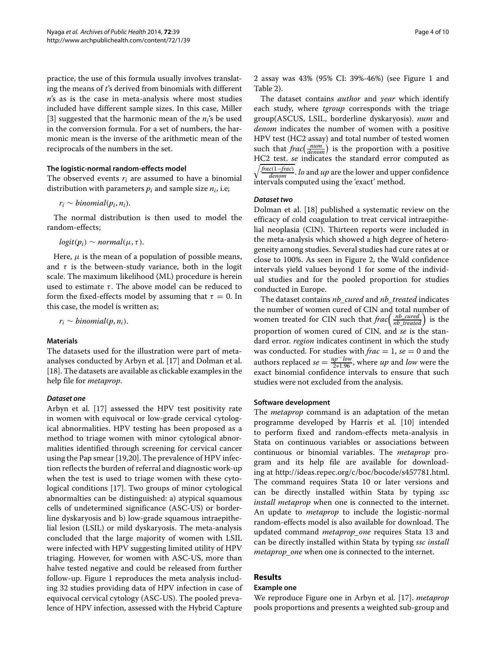practice, the use of this formula usually involves translating the means of *t*'s derived from binomials with different *n*'s as is the case in meta-analysis where most studies included have different sample sizes. In this case, Miller [\[3\]](#page-9-2) suggested that the harmonic mean of the *ni*'s be used in the conversion formula. For a set of numbers, the harmonic mean is the inverse of the arithmetic mean of the reciprocals of the numbers in the set.

## **The logistic-normal random-effects model**

The observed events *ri* are assumed to have a binomial distribution with parameters  $p_i$  and sample size  $n_i$ , i.e;

$$
r_i \sim binomial(p_i, n_i).
$$

The normal distribution is then used to model the random-effects;

 $logit(p_i) \sim normal(\mu, \tau)$ .

Here,  $\mu$  is the mean of a population of possible means, and  $\tau$  is the between-study variance, both in the logit scale. The maximum likelihood (ML) procedure is herein used to estimate  $\tau$ . The above model can be reduced to form the fixed-effects model by assuming that  $\tau = 0$ . In this case, the model is written as;

 $r_i \sim binomial(p, n_i)$ .

#### **Materials**

The datasets used for the illustration were part of metaanalyses conducted by Arbyn et al. [\[17\]](#page-9-16) and Dolman et al. [\[18\]](#page-9-17). The datasets are available as clickable examples in the help file for *metaprop*.

## *Dataset one*

Arbyn et al. [\[17\]](#page-9-16) assessed the HPV test positivity rate in women with equivocal or low-grade cervical cytological abnormalities. HPV testing has been proposed as a method to triage women with minor cytological abnormalities identified through screening for cervical cancer using the Pap smear [\[19,](#page-9-18)[20\]](#page-9-19). The prevalence of HPV infection reflects the burden of referral and diagnostic work-up when the test is used to triage women with these cytological conditions [\[17\]](#page-9-16). Two groups of minor cytological abnormalties can be distinguished: a) atypical squamous cells of undetermined significance (ASC-US) or borderline dyskaryosis and b) low-grade squamous intraepithelial lesion (LSIL) or mild dyskaryosis. The meta-analysis concluded that the large majority of women with LSIL were infected with HPV suggesting limited utility of HPV triaging. However, for women with ASC-US, more than halve tested negative and could be released from further follow-up. Figure [1](#page-4-0) reproduces the meta analysis including 32 studies providing data of HPV infection in case of equivocal cervical cytology (ASC-US). The pooled prevalence of HPV infection, assessed with the Hybrid Capture

2 assay was 43% (95% CI: 39%-46%) (see Figure [1](#page-4-0) and Table [2\)](#page-5-0).

The dataset contains *author* and *year* which identify each study, where *tgroup* corresponds with the triage group(ASCUS, LSIL, borderline dyskaryosis). *num* and *denom* indicates the number of women with a positive HPV test (HC2 assay) and total number of tested women such that  $frac(\frac{num}{denom})$  is the proportion with a positive HC2 test. *se* indicates the standard error computed as *frac*(1−*frac*) *denom* . *lo* and *up* are the lower and upper confidence intervals computed using the 'exact' method.

#### *Dataset two*

Dolman et al. [\[18\]](#page-9-17) published a systematic review on the efficacy of cold coagulation to treat cervical intraepithelial neoplasia (CIN). Thirteen reports were included in the meta-analysis which showed a high degree of heterogeneity among studies. Several studies had cure rates at or close to 100%. As seen in Figure [2,](#page-7-0) the Wald confidence intervals yield values beyond 1 for some of the individual studies and for the pooled proportion for studies conducted in Europe.

The dataset contains *nb\_cured* and *nb\_treated* indicates the number of women cured of CIN and total number of women treated for CIN such that  $\frac{frac{nb\_cured}{nb\_treated}}{nb\_treated}$  is the proportion of women cured of CIN, and *se* is the standard error. *region* indicates continent in which the study was conducted. For studies with *frac* = 1, *se* = 0 and the authors replaced *se* =  $\frac{up}{2*1.96}$ , where *up* and *low* were the exact binomial confidence intervals to ensure that such studies were not excluded from the analysis.

#### **Software development**

The *metaprop* command is an adaptation of the metan programme developed by Harris et al. [\[10\]](#page-9-9) intended to perform fixed and random-effects meta-analysis in Stata on continuous variables or associations between continuous or binomial variables. The *metaprop* program and its help file are available for downloading at [http://ideas.repec.org/c/boc/bocode/s457781.html.](http://ideas.repec.org/c/boc/bocode/s457781.html) The command requires Stata 10 or later versions and can be directly installed within Stata by typing *ssc install metaprop* when one is connected to the internet. An update to *metaprop* to include the logistic-normal random-effects model is also available for download. The updated command *metaprop\_one* requires Stata 13 and can be directly installed within Stata by typing *ssc install metaprop\_one* when one is connected to the internet.

## **Results**

#### **Example one**

We reproduce Figure one in Arbyn et al. [\[17\]](#page-9-16). *metaprop* pools proportions and presents a weighted sub-group and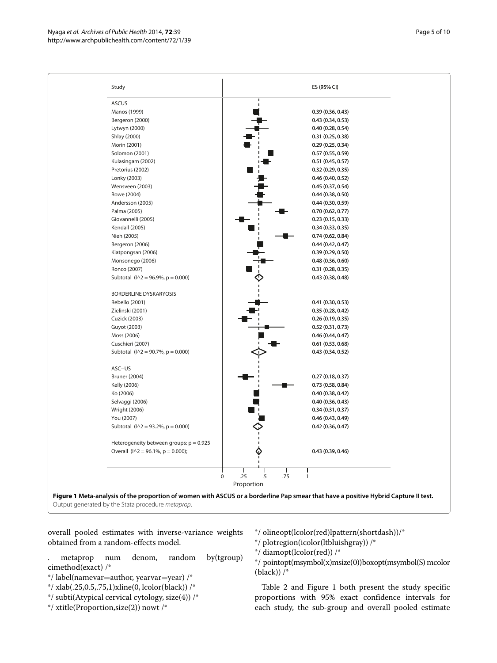#### Nyaga et al. Archives of Public Health 2014, **72**:39 **Page 5 of 10** Page 5 of 10 http://www.archpublichealth.com/content/72/1/39

| Study                                      | ES (95% CI)               |
|--------------------------------------------|---------------------------|
| ASCUS                                      | ٠<br>×,                   |
| Manos (1999)                               | 0.39(0.36, 0.43)          |
| Bergeron (2000)                            | 0.43(0.34, 0.53)          |
| Lytwyn (2000)                              | 0.40(0.28, 0.54)          |
| Shlay (2000)                               | 0.31(0.25, 0.38)          |
| Morin (2001)                               | 0.29(0.25, 0.34)          |
| Solomon (2001)                             | 0.57(0.55, 0.59)          |
| Kulasingam (2002)                          | 0.51(0.45, 0.57)          |
| Pretorius (2002)                           | 0.32(0.29, 0.35)          |
| Lonky (2003)                               | 0.46(0.40, 0.52)          |
| Wensveen (2003)                            | 0.45(0.37, 0.54)          |
| Rowe (2004)                                | 0.44(0.38, 0.50)          |
| Andersson (2005)                           | 0.44(0.30, 0.59)          |
| Palma (2005)                               | 0.70(0.62, 0.77)          |
| Giovannelli (2005)                         | 0.23(0.15, 0.33)          |
| Kendall (2005)                             | 0.34(0.33, 0.35)          |
| Nieh (2005)                                | 0.74(0.62, 0.84)          |
| Bergeron (2006)                            | 0.44(0.42, 0.47)          |
| Kiatpongsan (2006)                         | 0.39(0.29, 0.50)          |
| Monsonego (2006)                           | 0.48(0.36, 0.60)          |
| Ronco (2007)                               | 0.31(0.28, 0.35)          |
| Subtotal ( $1^2 = 96.9\%$ , p = 0.000)     | 0.43(0.38, 0.48)          |
| <b>BORDERLINE DYSKARYOSIS</b>              |                           |
| Rebello (2001)                             | 0.41(0.30, 0.53)          |
| Zielinski (2001)                           | 0.35(0.28, 0.42)          |
| Cuzick (2003)                              | 0.26(0.19, 0.35)          |
| Guyot (2003)                               | 0.52(0.31, 0.73)          |
| Moss (2006)                                | 0.46(0.44, 0.47)          |
| Cuschieri (2007)                           | 0.61(0.53, 0.68)          |
| Subtotal $(1 \land 2 = 90.7\%, p = 0.000)$ | 0.43(0.34, 0.52)          |
| ASC-US                                     |                           |
| <b>Bruner (2004)</b>                       | 0.27(0.18, 0.37)          |
| Kelly (2006)                               | 0.73 (0.58, 0.84)         |
| Ko (2006)                                  | 0.40(0.38, 0.42)          |
| Selvaggi (2006)                            | 0.40(0.36, 0.43)          |
| Wright (2006)                              | 0.34(0.31, 0.37)          |
| You (2007)                                 | 0.46(0.43, 0.49)          |
| Subtotal $(1 \land 2 = 93.2\%, p = 0.000)$ | 0.42(0.36, 0.47)          |
| Heterogeneity between groups: $p = 0.925$  |                           |
| Overall $(1^2 = 96.1\% , p = 0.000);$      | 0.43 (0.39, 0.46)         |
|                                            |                           |
| $\mathbf 0$<br>.25<br>Proportion           | .75<br>$\mathbf{1}$<br>.5 |

<span id="page-4-0"></span>Output generated by the Stata procedure *metaprop*.

overall pooled estimates with inverse-variance weights obtained from a random-effects model.

. metaprop num denom, random by(tgroup) cimethod(exact) /\*

- \*/ label(namevar=author, yearvar=year) /\*
- \*/ xlab(.25,0.5,.75,1)xline(0, lcolor(black)) /\*
- \*/ subti(Atypical cervical cytology, size(4)) /\*
- \*/ xtitle(Proportion,size(2)) nowt /\*

\*/ olineopt(lcolor(red)lpattern(shortdash))/\*

- \*/ plotregion(icolor(ltbluishgray)) /\*
- \*/ diamopt(lcolor(red)) /\*

\*/ pointopt(msymbol(x)msize(0))boxopt(msymbol(S) mcolor (black)) /\*

Table [2](#page-5-0) and Figure [1](#page-4-0) both present the study specific proportions with 95% exact confidence intervals for each study, the sub-group and overall pooled estimate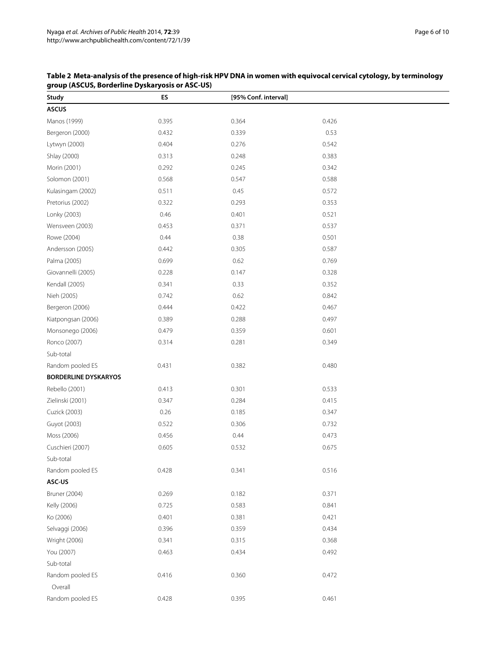| Study                       | ES    | [95% Conf. interval] |       |
|-----------------------------|-------|----------------------|-------|
| <b>ASCUS</b>                |       |                      |       |
| Manos (1999)                | 0.395 | 0.364                | 0.426 |
| Bergeron (2000)             | 0.432 | 0.339                | 0.53  |
| Lytwyn (2000)               | 0.404 | 0.276                | 0.542 |
| Shlay (2000)                | 0.313 | 0.248                | 0.383 |
| Morin (2001)                | 0.292 | 0.245                | 0.342 |
| Solomon (2001)              | 0.568 | 0.547                | 0.588 |
| Kulasingam (2002)           | 0.511 | 0.45                 | 0.572 |
| Pretorius (2002)            | 0.322 | 0.293                | 0.353 |
| Lonky (2003)                | 0.46  | 0.401                | 0.521 |
| Wensveen (2003)             | 0.453 | 0.371                | 0.537 |
| Rowe (2004)                 | 0.44  | 0.38                 | 0.501 |
| Andersson (2005)            | 0.442 | 0.305                | 0.587 |
| Palma (2005)                | 0.699 | 0.62                 | 0.769 |
| Giovannelli (2005)          | 0.228 | 0.147                | 0.328 |
| Kendall (2005)              | 0.341 | 0.33                 | 0.352 |
| Nieh (2005)                 | 0.742 | 0.62                 | 0.842 |
| Bergeron (2006)             | 0.444 | 0.422                | 0.467 |
| Kiatpongsan (2006)          | 0.389 | 0.288                | 0.497 |
| Monsonego (2006)            | 0.479 | 0.359                | 0.601 |
| Ronco (2007)                | 0.314 | 0.281                | 0.349 |
| Sub-total                   |       |                      |       |
| Random pooled ES            | 0.431 | 0.382                | 0.480 |
| <b>BORDERLINE DYSKARYOS</b> |       |                      |       |
| Rebello (2001)              | 0.413 | 0.301                | 0.533 |
| Zielinski (2001)            | 0.347 | 0.284                | 0.415 |
| Cuzick (2003)               | 0.26  | 0.185                | 0.347 |
| Guyot (2003)                | 0.522 | 0.306                | 0.732 |
| Moss (2006)                 | 0.456 | 0.44                 | 0.473 |
| Cuschieri (2007)            | 0.605 | 0.532                | 0.675 |
| Sub-total                   |       |                      |       |
| Random pooled ES            | 0.428 | 0.341                | 0.516 |
| ASC-US                      |       |                      |       |
| <b>Bruner (2004)</b>        | 0.269 | 0.182                | 0.371 |
| Kelly (2006)                | 0.725 | 0.583                | 0.841 |
| Ko (2006)                   | 0.401 | 0.381                | 0.421 |
| Selvaggi (2006)             | 0.396 | 0.359                | 0.434 |
| Wright (2006)               | 0.341 | 0.315                | 0.368 |
| You (2007)                  | 0.463 | 0.434                | 0.492 |
| Sub-total                   |       |                      |       |
| Random pooled ES            | 0.416 | 0.360                | 0.472 |
| Overall                     |       |                      |       |
| Random pooled ES            | 0.428 | 0.395                | 0.461 |

## <span id="page-5-0"></span>**Table 2 Meta-analysis of the presence of high-risk HPV DNA in women with equivocal cervical cytology, by terminology group (ASCUS, Borderline Dyskaryosis or ASC-US)**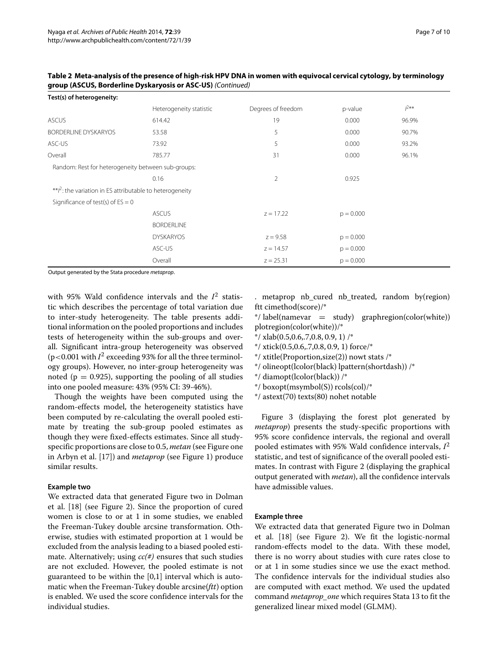| Test(s) of heterogeneity:                                            |                         |                    |             |        |
|----------------------------------------------------------------------|-------------------------|--------------------|-------------|--------|
|                                                                      | Heterogeneity statistic | Degrees of freedom | p-value     | $12**$ |
| <b>ASCUS</b>                                                         | 614.42                  | 19                 | 0.000       | 96.9%  |
| <b>BORDERLINE DYSKARYOS</b>                                          | 53.58                   | 5                  | 0.000       | 90.7%  |
| ASC-US                                                               | 73.92                   | 5                  | 0.000       | 93.2%  |
| Overall                                                              | 785.77                  | 31                 | 0.000       | 96.1%  |
| Random: Rest for heterogeneity between sub-groups:                   |                         |                    |             |        |
|                                                                      | 0.16                    | $\overline{2}$     | 0.925       |        |
| **/ <sup>2</sup> : the variation in ES attributable to heterogeneity |                         |                    |             |        |
| Significance of test(s) of $ES = 0$                                  |                         |                    |             |        |
|                                                                      | <b>ASCUS</b>            | $z = 17.22$        | $p = 0.000$ |        |
|                                                                      | <b>BORDERLINE</b>       |                    |             |        |
|                                                                      | <b>DYSKARYOS</b>        | $z = 9.58$         | $p = 0.000$ |        |
|                                                                      | ASC-US                  | $z = 14.57$        | $p = 0.000$ |        |
|                                                                      | Overall                 | $z = 25.31$        | $p = 0.000$ |        |

#### **Table 2 Meta-analysis of the presence of high-risk HPV DNA in women with equivocal cervical cytology, by terminology group (ASCUS, Borderline Dyskaryosis or ASC-US)** *(Continued)*

Output generated by the Stata procedure *metaprop*.

with 95% Wald confidence intervals and the *I*<sup>2</sup> statistic which describes the percentage of total variation due to inter-study heterogeneity. The table presents additional information on the pooled proportions and includes tests of heterogeneity within the sub-groups and overall. Significant intra-group heterogeneity was observed  $(p<0.001$  with  $I<sup>2</sup>$  exceeding 93% for all the three terminology groups). However, no inter-group heterogeneity was noted ( $p = 0.925$ ), supporting the pooling of all studies into one pooled measure: 43% (95% CI: 39-46%).

Though the weights have been computed using the random-effects model, the heterogeneity statistics have been computed by re-calculating the overall pooled estimate by treating the sub-group pooled estimates as though they were fixed-effects estimates. Since all studyspecific proportions are close to 0.5, *metan* (see Figure one in Arbyn et al. [\[17\]](#page-9-16)) and *metaprop* (see Figure [1\)](#page-4-0) produce similar results.

## **Example two**

We extracted data that generated Figure two in Dolman et al. [\[18\]](#page-9-17) (see Figure [2\)](#page-7-0). Since the proportion of cured women is close to or at 1 in some studies, we enabled the Freeman-Tukey double arcsine transformation. Otherwise, studies with estimated proportion at 1 would be excluded from the analysis leading to a biased pooled estimate. Alternatively; using *cc(#)* ensures that such studies are not excluded. However, the pooled estimate is not guaranteed to be within the [0,1] interval which is automatic when the Freeman-Tukey double arcsine(*ftt*) option is enabled. We used the score confidence intervals for the individual studies.

. metaprop nb\_cured nb\_treated, random by(region) ftt cimethod(score)/\*

 $*$ / label(namevar = study) graphregion(color(white)) plotregion(color(white))/\*

- $*/$  xlab $(0.5, 0.6, .7, 0.8, 0.9, 1)$  / $*$
- $*/$  xtick(0.5,0.6,.7,0.8, 0.9, 1) force/ $*$
- \*/ xtitle(Proportion,size(2)) nowt stats /\*
- \*/ olineopt(lcolor(black) lpattern(shortdash)) /\*
- \*/ diamopt(lcolor(black)) /\*
- \*/ boxopt(msymbol(S)) rcols(col)/\*
- \*/ astext(70) texts(80) nohet notable

Figure [3](#page-8-0) (displaying the forest plot generated by *metaprop*) presents the study-specific proportions with 95% score confidence intervals, the regional and overall pooled estimates with 95% Wald confidence intervals, *I*<sup>2</sup> statistic, and test of significance of the overall pooled estimates. In contrast with Figure [2](#page-7-0) (displaying the graphical output generated with *metan*), all the confidence intervals have admissible values.

#### **Example three**

We extracted data that generated Figure two in Dolman et al. [\[18\]](#page-9-17) (see Figure [2\)](#page-7-0). We fit the logistic-normal random-effects model to the data. With these model, there is no worry about studies with cure rates close to or at 1 in some studies since we use the exact method. The confidence intervals for the individual studies also are computed with exact method. We used the updated command *metaprop\_one* which requires Stata 13 to fit the generalized linear mixed model (GLMM).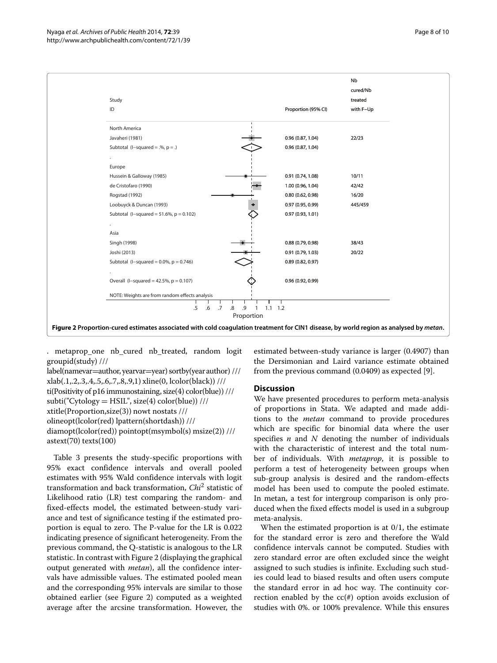

<span id="page-7-0"></span>. metaprop\_one nb\_cured nb\_treated, random logit groupid(study) ///

```
label(namevar=author, yearvar=year) sortby(yearauthor) ///
xlab(.1,.2,.3,.4,.5,.6,.7,.8,.9,1) xline(0, lcolor(black)) ///
ti(Positivity of p16 immunostaining, size(4) color(blue)) ///
subti("Cytology = HSIL", size(4) color(blue)) ///
xtitle(Proportion,size(3)) nowt nostats ///
olineopt(lcolor(red) lpattern(shortdash)) ///
diamopt(lcolor(red)) pointopt(msymbol(s) msize(2)) ///
astext(70) texts(100)
```
Table [3](#page-8-1) presents the study-specific proportions with 95% exact confidence intervals and overall pooled estimates with 95% Wald confidence intervals with logit transformation and back transformation, *Chi*<sup>2</sup> statistic of Likelihood ratio (LR) test comparing the random- and fixed-effects model, the estimated between-study variance and test of significance testing if the estimated proportion is equal to zero. The P-value for the LR is 0.022 indicating presence of significant heterogeneity. From the previous command, the Q-statistic is analogous to the LR statistic. In contrast with Figure [2](#page-7-0) (displaying the graphical output generated with *metan*), all the confidence intervals have admissible values. The estimated pooled mean and the corresponding 95% intervals are similar to those obtained earlier (see Figure [2\)](#page-7-0) computed as a weighted average after the arcsine transformation. However, the estimated between-study variance is larger (0.4907) than the Dersimonian and Laird variance estimate obtained from the previous command (0.0409) as expected [\[9\]](#page-9-8).

## **Discussion**

We have presented procedures to perform meta-analysis of proportions in Stata. We adapted and made additions to the *metan* command to provide procedures which are specific for binomial data where the user specifies *n* and *N* denoting the number of individuals with the characteristic of interest and the total number of individuals. With *metaprop*, it is possible to perform a test of heterogeneity between groups when sub-group analysis is desired and the random-effects model has been used to compute the pooled estimate. In metan, a test for intergroup comparison is only produced when the fixed effects model is used in a subgroup meta-analysis.

When the estimated proportion is at 0/1, the estimate for the standard error is zero and therefore the Wald confidence intervals cannot be computed. Studies with zero standard error are often excluded since the weight assigned to such studies is infinite. Excluding such studies could lead to biased results and often users compute the standard error in ad hoc way. The continuity correction enabled by the  $cc(\#)$  option avoids exclusion of studies with 0%. or 100% prevalence. While this ensures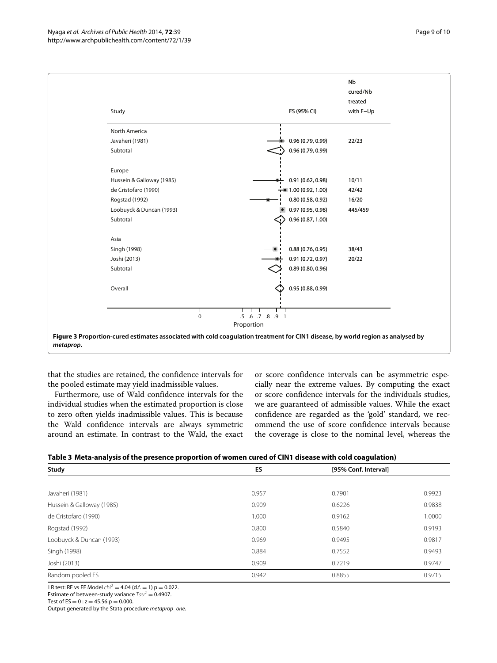

<span id="page-8-0"></span>that the studies are retained, the confidence intervals for the pooled estimate may yield inadmissible values.

Furthermore, use of Wald confidence intervals for the individual studies when the estimated proportion is close to zero often yields inadmissible values. This is because the Wald confidence intervals are always symmetric around an estimate. In contrast to the Wald, the exact

or score confidence intervals can be asymmetric especially near the extreme values. By computing the exact or score confidence intervals for the individuals studies, we are guaranteed of admissible values. While the exact confidence are regarded as the 'gold' standard, we recommend the use of score confidence intervals because the coverage is close to the nominal level, whereas the

<span id="page-8-1"></span>

|  |  |  |  | (comportion of CIN1 disease with disease that is distributed in the Sabistion) Table 3 Meta-analysion |
|--|--|--|--|-------------------------------------------------------------------------------------------------------|
|--|--|--|--|-------------------------------------------------------------------------------------------------------|

| Study                     | ES    | [95% Conf. Interval] |        |
|---------------------------|-------|----------------------|--------|
|                           |       |                      |        |
| Javaheri (1981)           | 0.957 | 0.7901               | 0.9923 |
| Hussein & Galloway (1985) | 0.909 | 0.6226               | 0.9838 |
| de Cristofaro (1990)      | 1.000 | 0.9162               | 1.0000 |
| Rogstad (1992)            | 0.800 | 0.5840               | 0.9193 |
| Loobuyck & Duncan (1993)  | 0.969 | 0.9495               | 0.9817 |
| Singh (1998)              | 0.884 | 0.7552               | 0.9493 |
| Joshi (2013)              | 0.909 | 0.7219               | 0.9747 |
| Random pooled ES          | 0.942 | 0.8855               | 0.9715 |

LR test: RE vs FE Model  $\frac{c}{h^2} = 4.04$  (d.f. = 1) p = 0.022.

Estimate of between-study variance  $Tau^2 = 0.4907$ .

Test of  $ES = 0: z = 45.56 p = 0.000$ .

Output generated by the Stata procedure *metaprop\_one*.